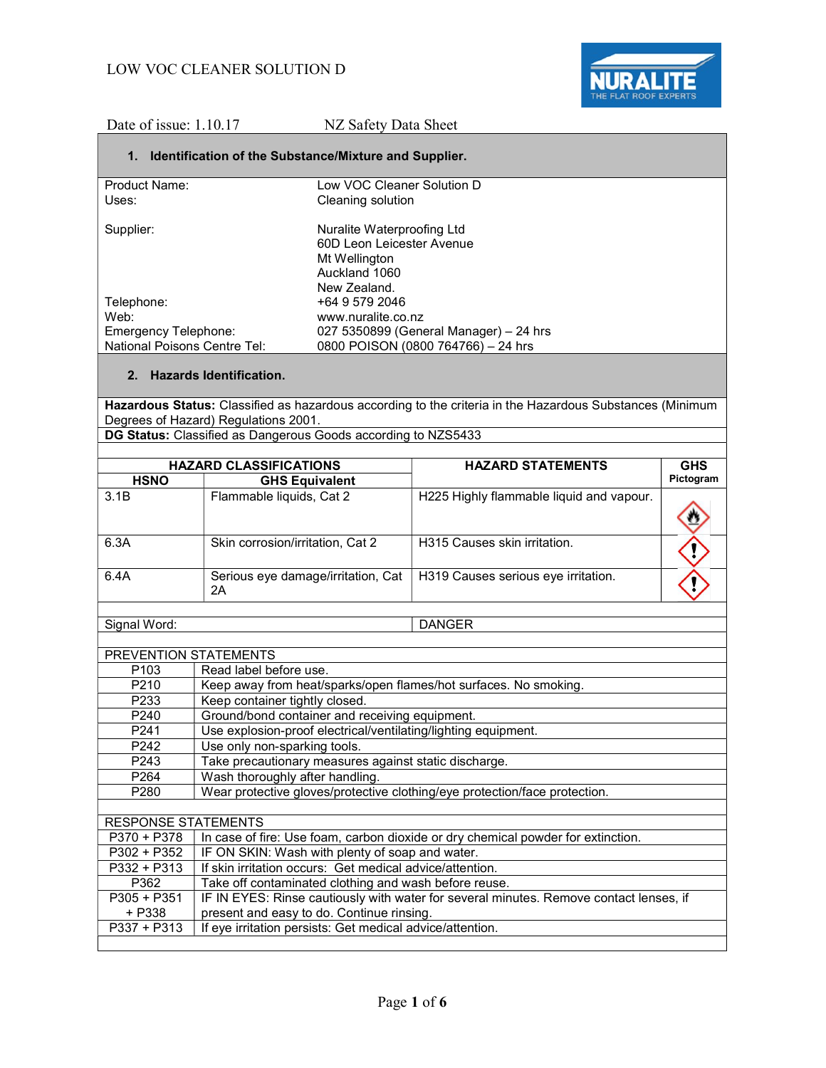

Date of issue: 1.10.17 NZ Safety Data Sheet

### 1. Identification of the Substance/Mixture and Supplier.

| Low VOC Cleaner Solution D<br>Cleaning solution |
|-------------------------------------------------|
|                                                 |
| Nuralite Waterproofing Ltd                      |
| 60D Leon Leicester Avenue                       |
| Mt Wellington                                   |
| Auckland 1060                                   |
| New Zealand.                                    |
| +64 9 579 2046                                  |
| www.nuralite.co.nz                              |
| 027 5350899 (General Manager) – 24 hrs          |
| 0800 POISON (0800 764766) - 24 hrs              |
|                                                 |

### 2. Hazards Identification.

Hazardous Status: Classified as hazardous according to the criteria in the Hazardous Substances (Minimum Degrees of Hazard) Regulations 2001.

DG Status: Classified as Dangerous Goods according to NZS5433

| <b>HAZARD CLASSIFICATIONS</b> |                                          | <b>HAZARD STATEMENTS</b>                 | <b>GHS</b> |
|-------------------------------|------------------------------------------|------------------------------------------|------------|
| <b>HSNO</b>                   | <b>GHS Equivalent</b>                    |                                          | Pictogram  |
| 3.1B                          | Flammable liquids, Cat 2                 | H225 Highly flammable liquid and vapour. |            |
| 6.3A                          | Skin corrosion/irritation, Cat 2         | H315 Causes skin irritation.             |            |
| 6.4A                          | Serious eye damage/irritation, Cat<br>2Α | H319 Causes serious eye irritation.      |            |
|                               |                                          |                                          |            |

Signal Word: DANGER

| PREVENTION STATEMENTS      |                                                                                        |  |
|----------------------------|----------------------------------------------------------------------------------------|--|
| P <sub>103</sub>           | Read label before use.                                                                 |  |
| P <sub>210</sub>           | Keep away from heat/sparks/open flames/hot surfaces. No smoking.                       |  |
| P <sub>233</sub>           | Keep container tightly closed.                                                         |  |
| P240                       | Ground/bond container and receiving equipment.                                         |  |
| P241                       | Use explosion-proof electrical/ventilating/lighting equipment.                         |  |
| P <sub>242</sub>           | Use only non-sparking tools.                                                           |  |
| P243                       | Take precautionary measures against static discharge.                                  |  |
| P <sub>264</sub>           | Wash thoroughly after handling.                                                        |  |
| P <sub>280</sub>           | Wear protective gloves/protective clothing/eye protection/face protection.             |  |
|                            |                                                                                        |  |
| <b>RESPONSE STATEMENTS</b> |                                                                                        |  |
| P370 + P378                | In case of fire: Use foam, carbon dioxide or dry chemical powder for extinction.       |  |
| P302 + P352                | IF ON SKIN: Wash with plenty of soap and water.                                        |  |
| P332 + P313                | If skin irritation occurs: Get medical advice/attention.                               |  |
| P362                       | Take off contaminated clothing and wash before reuse.                                  |  |
| $P305 + P351$              | IF IN EYES: Rinse cautiously with water for several minutes. Remove contact lenses, if |  |
| + P338                     | present and easy to do. Continue rinsing.                                              |  |
| P337 + P313                | If eye irritation persists: Get medical advice/attention.                              |  |
|                            |                                                                                        |  |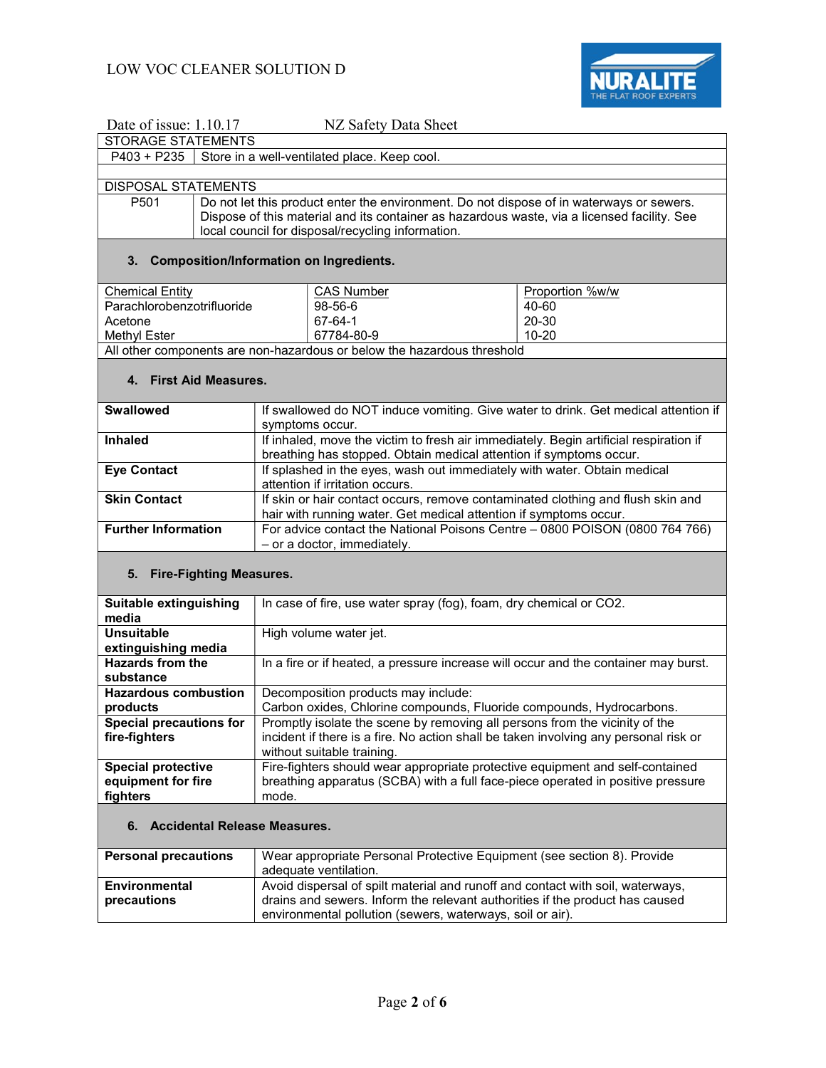

| Date of issue: 1.10.17                                                                                 | NZ Safety Data Sheet                                                                                     |  |  |
|--------------------------------------------------------------------------------------------------------|----------------------------------------------------------------------------------------------------------|--|--|
| <b>STORAGE STATEMENTS</b>                                                                              |                                                                                                          |  |  |
| Store in a well-ventilated place. Keep cool.<br>$P403 + P235$                                          |                                                                                                          |  |  |
|                                                                                                        |                                                                                                          |  |  |
| <b>DISPOSAL STATEMENTS</b>                                                                             |                                                                                                          |  |  |
| P501                                                                                                   | Do not let this product enter the environment. Do not dispose of in waterways or sewers.                 |  |  |
|                                                                                                        | Dispose of this material and its container as hazardous waste, via a licensed facility. See              |  |  |
|                                                                                                        | local council for disposal/recycling information.                                                        |  |  |
|                                                                                                        |                                                                                                          |  |  |
| 3.                                                                                                     | <b>Composition/Information on Ingredients.</b>                                                           |  |  |
| <b>Chemical Entity</b>                                                                                 | Proportion %w/w<br><b>CAS Number</b>                                                                     |  |  |
| Parachlorobenzotrifluoride                                                                             | 98-56-6<br>40-60                                                                                         |  |  |
| Acetone                                                                                                | 20-30<br>67-64-1                                                                                         |  |  |
| Methyl Ester                                                                                           | $10 - 20$<br>67784-80-9                                                                                  |  |  |
|                                                                                                        | All other components are non-hazardous or below the hazardous threshold                                  |  |  |
| 4. First Aid Measures.                                                                                 |                                                                                                          |  |  |
| <b>Swallowed</b>                                                                                       |                                                                                                          |  |  |
|                                                                                                        | If swallowed do NOT induce vomiting. Give water to drink. Get medical attention if                       |  |  |
| <b>Inhaled</b>                                                                                         | symptoms occur.<br>If inhaled, move the victim to fresh air immediately. Begin artificial respiration if |  |  |
|                                                                                                        | breathing has stopped. Obtain medical attention if symptoms occur.                                       |  |  |
| <b>Eye Contact</b>                                                                                     | If splashed in the eyes, wash out immediately with water. Obtain medical                                 |  |  |
|                                                                                                        | attention if irritation occurs.                                                                          |  |  |
| <b>Skin Contact</b><br>If skin or hair contact occurs, remove contaminated clothing and flush skin and |                                                                                                          |  |  |
|                                                                                                        | hair with running water. Get medical attention if symptoms occur.                                        |  |  |
| <b>Further Information</b>                                                                             | For advice contact the National Poisons Centre - 0800 POISON (0800 764 766)                              |  |  |
|                                                                                                        | - or a doctor, immediately.                                                                              |  |  |
|                                                                                                        |                                                                                                          |  |  |
| 5. Fire-Fighting Measures.                                                                             |                                                                                                          |  |  |
| Suitable extinguishing                                                                                 | In case of fire, use water spray (fog), foam, dry chemical or CO2.                                       |  |  |
| media                                                                                                  |                                                                                                          |  |  |
| <b>Unsuitable</b><br>High volume water jet.                                                            |                                                                                                          |  |  |
| extinguishing media                                                                                    |                                                                                                          |  |  |
| <b>Hazards from the</b>                                                                                | In a fire or if heated, a pressure increase will occur and the container may burst.                      |  |  |
| substance                                                                                              |                                                                                                          |  |  |
| <b>Hazardous combustion</b>                                                                            | Decomposition products may include:                                                                      |  |  |
| products                                                                                               | Carbon oxides, Chlorine compounds, Fluoride compounds, Hydrocarbons.                                     |  |  |
| <b>Special precautions for</b>                                                                         | Promptly isolate the scene by removing all persons from the vicinity of the                              |  |  |
| fire-fighters                                                                                          | incident if there is a fire. No action shall be taken involving any personal risk or                     |  |  |
|                                                                                                        | without suitable training.                                                                               |  |  |
| <b>Special protective</b>                                                                              | Fire-fighters should wear appropriate protective equipment and self-contained                            |  |  |
| equipment for fire                                                                                     | breathing apparatus (SCBA) with a full face-piece operated in positive pressure                          |  |  |
| fighters                                                                                               | mode.                                                                                                    |  |  |
| <b>Accidental Release Measures.</b><br>6.                                                              |                                                                                                          |  |  |
| <b>Personal precautions</b>                                                                            | Wear appropriate Personal Protective Equipment (see section 8). Provide                                  |  |  |
|                                                                                                        | adequate ventilation.                                                                                    |  |  |
| <b>Environmental</b>                                                                                   | Avoid dispersal of spilt material and runoff and contact with soil, waterways,                           |  |  |
| precautions                                                                                            | drains and sewers. Inform the relevant authorities if the product has caused                             |  |  |
|                                                                                                        | environmental pollution (sewers, waterways, soil or air).                                                |  |  |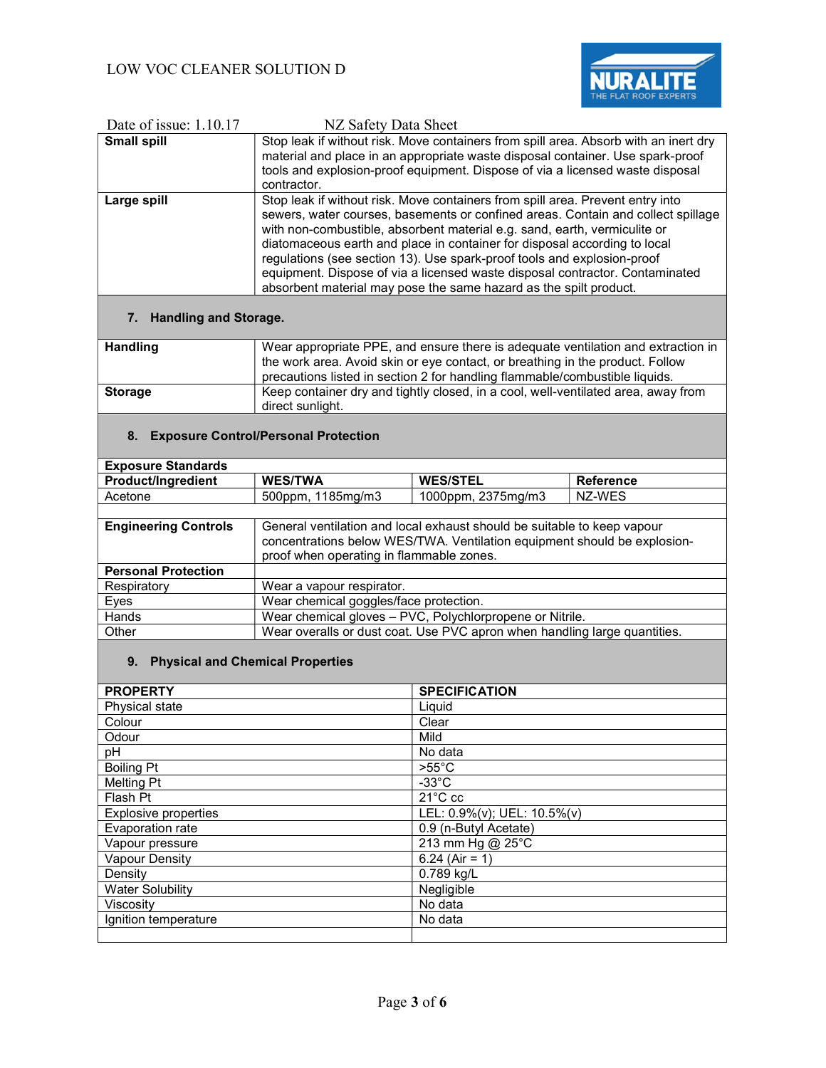

| Date of issue: 1.10.17 | NZ Safety Data Sheet                                                                                                                                                                                                                                                                                                                                                                                                                                                                                                                                         |
|------------------------|--------------------------------------------------------------------------------------------------------------------------------------------------------------------------------------------------------------------------------------------------------------------------------------------------------------------------------------------------------------------------------------------------------------------------------------------------------------------------------------------------------------------------------------------------------------|
| <b>Small spill</b>     | Stop leak if without risk. Move containers from spill area. Absorb with an inert dry<br>material and place in an appropriate waste disposal container. Use spark-proof<br>tools and explosion-proof equipment. Dispose of via a licensed waste disposal                                                                                                                                                                                                                                                                                                      |
|                        | contractor.                                                                                                                                                                                                                                                                                                                                                                                                                                                                                                                                                  |
| Large spill            | Stop leak if without risk. Move containers from spill area. Prevent entry into<br>sewers, water courses, basements or confined areas. Contain and collect spillage<br>with non-combustible, absorbent material e.g. sand, earth, vermiculite or<br>diatomaceous earth and place in container for disposal according to local<br>regulations (see section 13). Use spark-proof tools and explosion-proof<br>equipment. Dispose of via a licensed waste disposal contractor. Contaminated<br>absorbent material may pose the same hazard as the spilt product. |

## 7. Handling and Storage.

| <b>Handling</b> | Wear appropriate PPE, and ensure there is adequate ventilation and extraction in<br>the work area. Avoid skin or eye contact, or breathing in the product. Follow |
|-----------------|-------------------------------------------------------------------------------------------------------------------------------------------------------------------|
|                 | precautions listed in section 2 for handling flammable/combustible liquids.                                                                                       |
| <b>Storage</b>  | Keep container dry and tightly closed, in a cool, well-ventilated area, away from<br>direct sunlight.                                                             |
|                 |                                                                                                                                                                   |

### 8. Exposure Control/Personal Protection

| <b>Exposure Standards</b>   |                                          |                                                                                                                                                     |                  |
|-----------------------------|------------------------------------------|-----------------------------------------------------------------------------------------------------------------------------------------------------|------------------|
| <b>Product/Ingredient</b>   | <b>WES/TWA</b>                           | <b>WES/STEL</b>                                                                                                                                     | <b>Reference</b> |
| Acetone                     | 500ppm, 1185mg/m3                        | 1000ppm, 2375mg/m3                                                                                                                                  | NZ-WES           |
|                             |                                          |                                                                                                                                                     |                  |
| <b>Engineering Controls</b> | proof when operating in flammable zones. | General ventilation and local exhaust should be suitable to keep vapour<br>concentrations below WES/TWA. Ventilation equipment should be explosion- |                  |
| <b>Personal Protection</b>  |                                          |                                                                                                                                                     |                  |
| Respiratory                 | Wear a vapour respirator.                |                                                                                                                                                     |                  |
| Eyes                        | Wear chemical goggles/face protection.   |                                                                                                                                                     |                  |
| Hands                       |                                          | Wear chemical gloves - PVC, Polychlorpropene or Nitrile.                                                                                            |                  |
| Other                       |                                          | Wear overalls or dust coat. Use PVC apron when handling large quantities.                                                                           |                  |
|                             |                                          |                                                                                                                                                     |                  |

# 9. Physical and Chemical Properties

| <b>PROPERTY</b>             | <b>SPECIFICATION</b>        |
|-----------------------------|-----------------------------|
| Physical state              | Liquid                      |
| Colour                      | Clear                       |
| Odour                       | Mild                        |
| рH                          | No data                     |
| <b>Boiling Pt</b>           | $>55^{\circ}$ C             |
| <b>Melting Pt</b>           | $-33^{\circ}$ C             |
| Flash Pt                    | $21^{\circ}$ C cc           |
| <b>Explosive properties</b> | LEL: 0.9%(v); UEL: 10.5%(v) |
| Evaporation rate            | 0.9 (n-Butyl Acetate)       |
| Vapour pressure             | 213 mm Hg @ 25°C            |
| <b>Vapour Density</b>       | 6.24 (Air = 1)              |
| Density                     | 0.789 kg/L                  |
| <b>Water Solubility</b>     | Negligible                  |
| Viscositv                   | No data                     |
| Ignition temperature        | No data                     |
|                             |                             |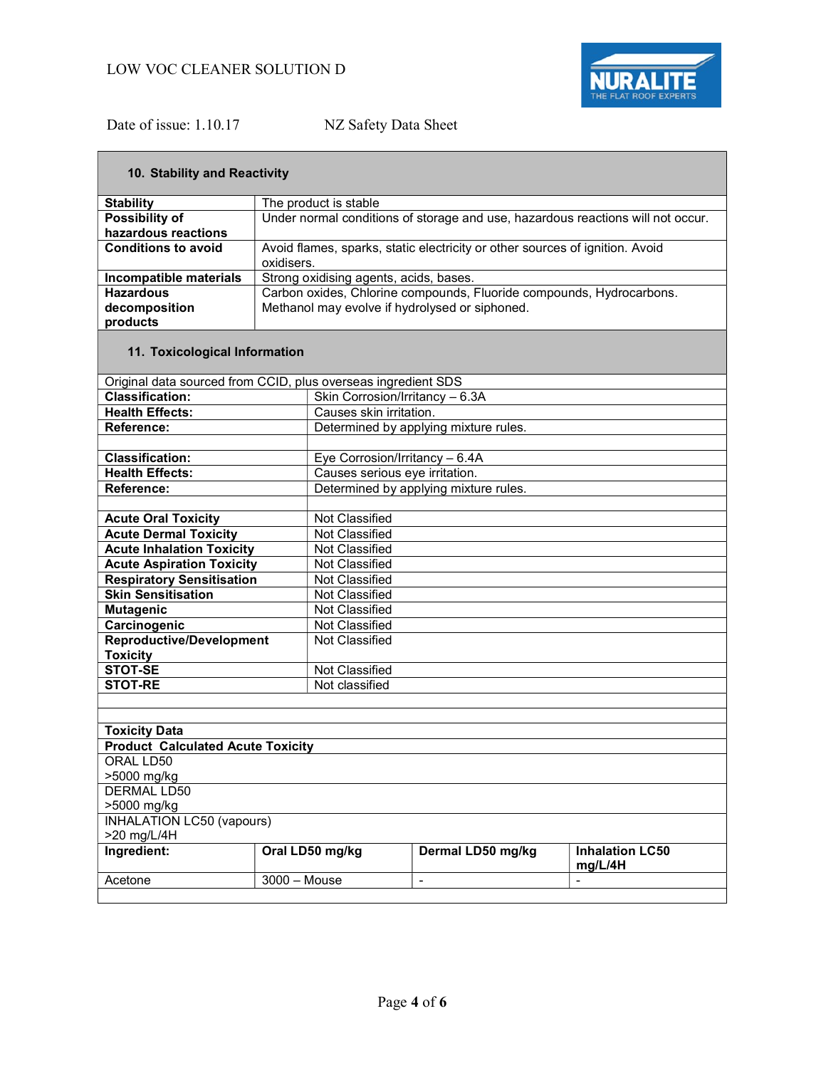

┓

# Date of issue: 1.10.17 NZ Safety Data Sheet

| 10. Stability and Reactivity                                  |                       |                                                                      |                                                                              |                                                                                 |  |
|---------------------------------------------------------------|-----------------------|----------------------------------------------------------------------|------------------------------------------------------------------------------|---------------------------------------------------------------------------------|--|
| <b>Stability</b>                                              | The product is stable |                                                                      |                                                                              |                                                                                 |  |
| <b>Possibility of</b>                                         |                       |                                                                      |                                                                              | Under normal conditions of storage and use, hazardous reactions will not occur. |  |
| hazardous reactions                                           |                       |                                                                      |                                                                              |                                                                                 |  |
| <b>Conditions to avoid</b>                                    |                       |                                                                      | Avoid flames, sparks, static electricity or other sources of ignition. Avoid |                                                                                 |  |
|                                                               | oxidisers.            |                                                                      |                                                                              |                                                                                 |  |
| Incompatible materials                                        |                       | Strong oxidising agents, acids, bases.                               |                                                                              |                                                                                 |  |
| <b>Hazardous</b>                                              |                       | Carbon oxides, Chlorine compounds, Fluoride compounds, Hydrocarbons. |                                                                              |                                                                                 |  |
| decomposition                                                 |                       |                                                                      | Methanol may evolve if hydrolysed or siphoned.                               |                                                                                 |  |
| products                                                      |                       |                                                                      |                                                                              |                                                                                 |  |
| 11. Toxicological Information                                 |                       |                                                                      |                                                                              |                                                                                 |  |
| Original data sourced from CCID, plus overseas ingredient SDS |                       |                                                                      |                                                                              |                                                                                 |  |
| <b>Classification:</b>                                        |                       | Skin Corrosion/Irritancy - 6.3A                                      |                                                                              |                                                                                 |  |
| <b>Health Effects:</b>                                        |                       | Causes skin irritation.                                              |                                                                              |                                                                                 |  |
| Reference:                                                    |                       |                                                                      | Determined by applying mixture rules.                                        |                                                                                 |  |
| <b>Classification:</b>                                        |                       | Eye Corrosion/Irritancy $-\overline{6.4A}$                           |                                                                              |                                                                                 |  |
| <b>Health Effects:</b>                                        |                       | Causes serious eye irritation.                                       |                                                                              |                                                                                 |  |
| <b>Reference:</b>                                             |                       |                                                                      | Determined by applying mixture rules.                                        |                                                                                 |  |
|                                                               |                       |                                                                      |                                                                              |                                                                                 |  |
| <b>Acute Oral Toxicity</b>                                    |                       | Not Classified                                                       |                                                                              |                                                                                 |  |
| <b>Acute Dermal Toxicity</b>                                  |                       | Not Classified                                                       |                                                                              |                                                                                 |  |
| <b>Acute Inhalation Toxicity</b>                              |                       | Not Classified                                                       |                                                                              |                                                                                 |  |
| <b>Acute Aspiration Toxicity</b>                              |                       | Not Classified                                                       |                                                                              |                                                                                 |  |
| <b>Respiratory Sensitisation</b>                              |                       | Not Classified                                                       |                                                                              |                                                                                 |  |
| <b>Skin Sensitisation</b>                                     |                       | Not Classified                                                       |                                                                              |                                                                                 |  |
| <b>Mutagenic</b>                                              |                       | Not Classified                                                       |                                                                              |                                                                                 |  |
| Carcinogenic                                                  |                       | Not Classified                                                       |                                                                              |                                                                                 |  |
| <b>Reproductive/Development</b><br><b>Toxicity</b>            |                       | Not Classified                                                       |                                                                              |                                                                                 |  |
| <b>STOT-SE</b>                                                |                       | Not Classified                                                       |                                                                              |                                                                                 |  |
| <b>STOT-RE</b>                                                |                       | Not classified                                                       |                                                                              |                                                                                 |  |
|                                                               |                       |                                                                      |                                                                              |                                                                                 |  |
|                                                               |                       |                                                                      |                                                                              |                                                                                 |  |
| <b>Toxicity Data</b>                                          |                       |                                                                      |                                                                              |                                                                                 |  |
| <b>Product Calculated Acute Toxicity</b>                      |                       |                                                                      |                                                                              |                                                                                 |  |
| ORAL LD50                                                     |                       |                                                                      |                                                                              |                                                                                 |  |
| >5000 mg/kg                                                   |                       |                                                                      |                                                                              |                                                                                 |  |
| <b>DERMAL LD50</b>                                            |                       |                                                                      |                                                                              |                                                                                 |  |
| >5000 mg/kg<br><b>INHALATION LC50 (vapours)</b>               |                       |                                                                      |                                                                              |                                                                                 |  |
| >20 mg/L/4H                                                   |                       |                                                                      |                                                                              |                                                                                 |  |
| Ingredient:                                                   |                       | Oral LD50 mg/kg                                                      | Dermal LD50 mg/kg                                                            | <b>Inhalation LC50</b><br>mg/L/4H                                               |  |
| Acetone                                                       | $3000 - Mouse$        |                                                                      | $\qquad \qquad \blacksquare$                                                 | $\qquad \qquad \blacksquare$                                                    |  |
|                                                               |                       |                                                                      |                                                                              |                                                                                 |  |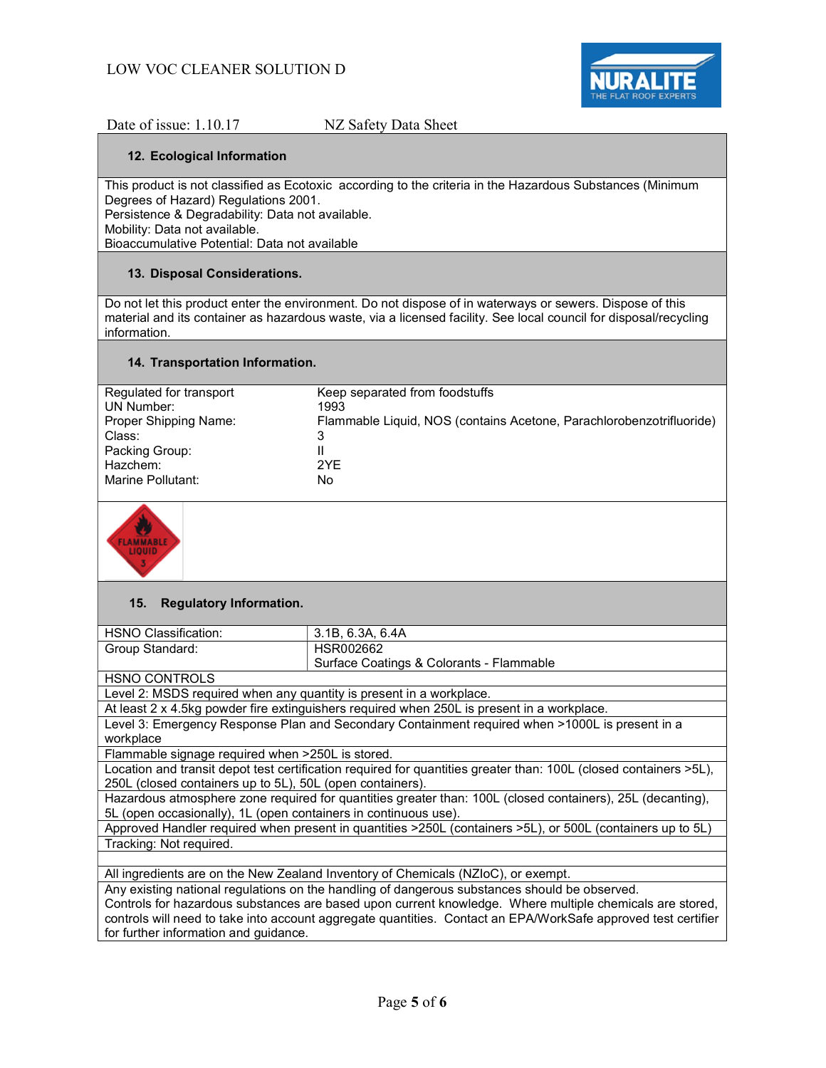

Date of issue: 1.10.17 NZ Safety Data Sheet

#### 12. Ecological Information

This product is not classified as Ecotoxic according to the criteria in the Hazardous Substances (Minimum Degrees of Hazard) Regulations 2001.

Persistence & Degradability: Data not available.

Mobility: Data not available.

Bioaccumulative Potential: Data not available

#### 13. Disposal Considerations.

Do not let this product enter the environment. Do not dispose of in waterways or sewers. Dispose of this material and its container as hazardous waste, via a licensed facility. See local council for disposal/recycling information.

#### 14. Transportation Information.

| Regulated for transport    | Keep separated from foodstuffs                                       |
|----------------------------|----------------------------------------------------------------------|
| UN Number:                 | 1993                                                                 |
| Proper Shipping Name:      | Flammable Liquid, NOS (contains Acetone, Parachlorobenzotrifluoride) |
| Class:                     | 3                                                                    |
| Packing Group:<br>Hazchem: | 2YF                                                                  |
| Marine Pollutant:          | No                                                                   |



#### 15. Regulatory Information.

| HSNO Classification:                                                                                              | 3.1B, 6.3A, 6.4A                         |  |
|-------------------------------------------------------------------------------------------------------------------|------------------------------------------|--|
| Group Standard:                                                                                                   | HSR002662                                |  |
|                                                                                                                   | Surface Coatings & Colorants - Flammable |  |
| <b>HSNO CONTROLS</b>                                                                                              |                                          |  |
| Level 2: MSDS required when any quantity is present in a workplace.                                               |                                          |  |
| At least 2 x 4.5kg powder fire extinguishers required when 250L is present in a workplace.                        |                                          |  |
| Level 3: Emergency Response Plan and Secondary Containment required when >1000L is present in a                   |                                          |  |
| workplace                                                                                                         |                                          |  |
| Flammable signage required when >250L is stored.                                                                  |                                          |  |
| Location and transit depot test certification required for quantities greater than: 100L (closed containers >5L), |                                          |  |
|                                                                                                                   |                                          |  |

250L (closed containers up to 5L), 50L (open containers).

Hazardous atmosphere zone required for quantities greater than: 100L (closed containers), 25L (decanting), 5L (open occasionally), 1L (open containers in continuous use).

Approved Handler required when present in quantities >250L (containers >5L), or 500L (containers up to 5L) Tracking: Not required.

All ingredients are on the New Zealand Inventory of Chemicals (NZIoC), or exempt.

Any existing national regulations on the handling of dangerous substances should be observed.

Controls for hazardous substances are based upon current knowledge. Where multiple chemicals are stored, controls will need to take into account aggregate quantities. Contact an EPA/WorkSafe approved test certifier for further information and guidance.